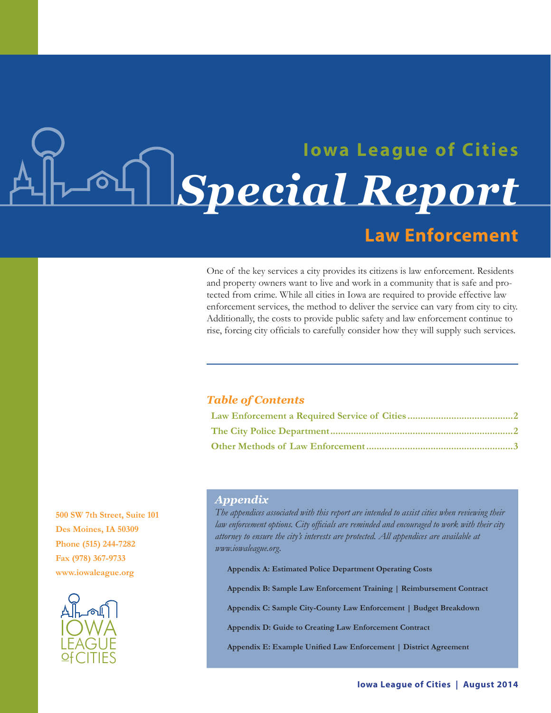# **Iowa League of Cities** Special Report **Law Enforcement**

One of the key services a city provides its citizens is law enforcement. Residents and property owners want to live and work in a community that is safe and protected from crime. While all cities in Iowa are required to provide effective law enforcement services, the method to deliver the service can vary from city to city. Additionally, the costs to provide public safety and law enforcement continue to rise, forcing city officials to carefully consider how they will supply such services.

### **Table of Contents**

500 SW 7th Street, Suite 101 Des Moines, IA 50309 Phone (515) 244-7282 Fax (978) 367-9733 www.iowaleague.org



## **Appendix**

The appendices associated with this report are intended to assist cities when reviewing their law enforcement options. City officials are reminded and encouraged to work with their city attorney to ensure the city's interests are protected. All appendices are available at www.iowaleague.org.

**Appendix A: Estimated Police Department Operating Costs** 

Appendix B: Sample Law Enforcement Training | Reimbursement Contract

Appendix C: Sample City-County Law Enforcement | Budget Breakdown

Appendix D: Guide to Creating Law Enforcement Contract

Appendix E: Example Unified Law Enforcement | District Agreement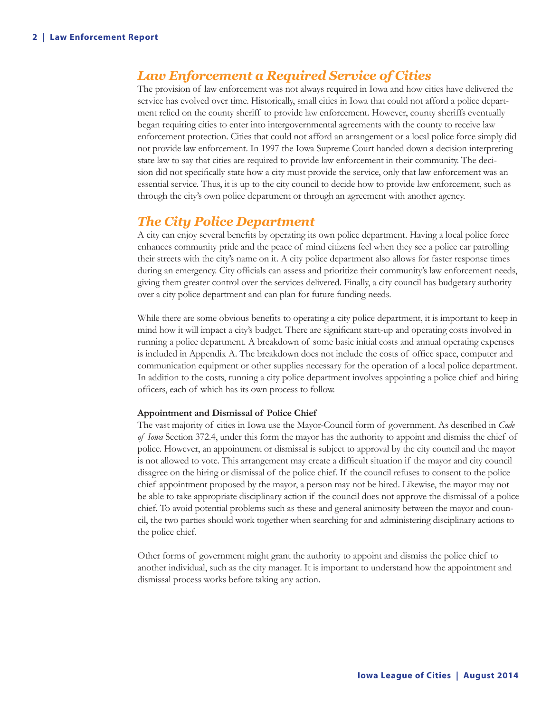# *Law Enforcement a Required Service of Cities*

The provision of law enforcement was not always required in Iowa and how cities have delivered the service has evolved over time. Historically, small cities in Iowa that could not afford a police department relied on the county sheriff to provide law enforcement. However, county sheriffs eventually began requiring cities to enter into intergovernmental agreements with the county to receive law enforcement protection. Cities that could not afford an arrangement or a local police force simply did not provide law enforcement. In 1997 the Iowa Supreme Court handed down a decision interpreting state law to say that cities are required to provide law enforcement in their community. The decision did not specifically state how a city must provide the service, only that law enforcement was an essential service. Thus, it is up to the city council to decide how to provide law enforcement, such as through the city's own police department or through an agreement with another agency.

# *The City Police Department*

A city can enjoy several benefits by operating its own police department. Having a local police force enhances community pride and the peace of mind citizens feel when they see a police car patrolling their streets with the city's name on it. A city police department also allows for faster response times during an emergency. City officials can assess and prioritize their community's law enforcement needs, giving them greater control over the services delivered. Finally, a city council has budgetary authority over a city police department and can plan for future funding needs.

While there are some obvious benefits to operating a city police department, it is important to keep in mind how it will impact a city's budget. There are significant start-up and operating costs involved in running a police department. A breakdown of some basic initial costs and annual operating expenses is included in Appendix A. The breakdown does not include the costs of office space, computer and communication equipment or other supplies necessary for the operation of a local police department. In addition to the costs, running a city police department involves appointing a police chief and hiring officers, each of which has its own process to follow.

#### **Appointment and Dismissal of Police Chief**

The vast majority of cities in Iowa use the Mayor-Council form of government. As described in *Code of Iowa* Section 372.4, under this form the mayor has the authority to appoint and dismiss the chief of police. However, an appointment or dismissal is subject to approval by the city council and the mayor is not allowed to vote. This arrangement may create a difficult situation if the mayor and city council disagree on the hiring or dismissal of the police chief. If the council refuses to consent to the police chief appointment proposed by the mayor, a person may not be hired. Likewise, the mayor may not be able to take appropriate disciplinary action if the council does not approve the dismissal of a police chief. To avoid potential problems such as these and general animosity between the mayor and council, the two parties should work together when searching for and administering disciplinary actions to the police chief.

Other forms of government might grant the authority to appoint and dismiss the police chief to another individual, such as the city manager. It is important to understand how the appointment and dismissal process works before taking any action.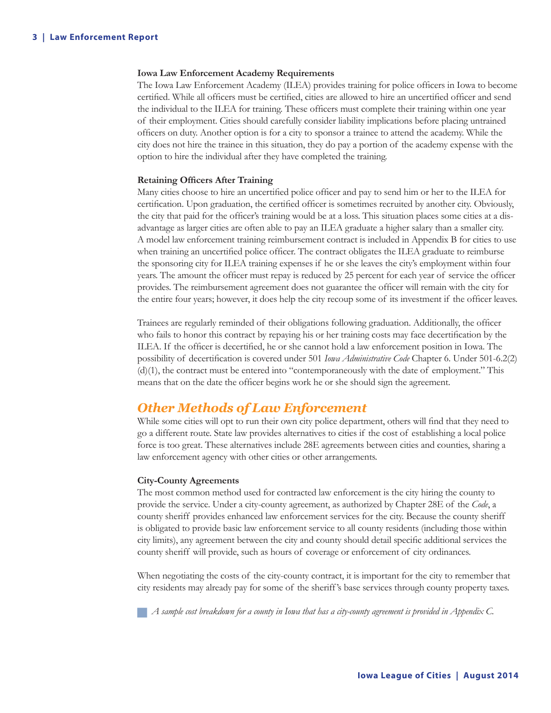#### **Iowa Law Enforcement Academy Requirements**

The Iowa Law Enforcement Academy (ILEA) provides training for police officers in Iowa to become certified. While all officers must be certified, cities are allowed to hire an uncertified officer and send the individual to the ILEA for training. These officers must complete their training within one year of their employment. Cities should carefully consider liability implications before placing untrained officers on duty. Another option is for a city to sponsor a trainee to attend the academy. While the city does not hire the trainee in this situation, they do pay a portion of the academy expense with the option to hire the individual after they have completed the training.

#### **Retaining Officers After Training**

Many cities choose to hire an uncertified police officer and pay to send him or her to the ILEA for certification. Upon graduation, the certified officer is sometimes recruited by another city. Obviously, the city that paid for the officer's training would be at a loss. This situation places some cities at a disadvantage as larger cities are often able to pay an ILEA graduate a higher salary than a smaller city. A model law enforcement training reimbursement contract is included in Appendix B for cities to use when training an uncertified police officer. The contract obligates the ILEA graduate to reimburse the sponsoring city for ILEA training expenses if he or she leaves the city's employment within four years. The amount the officer must repay is reduced by 25 percent for each year of service the officer provides. The reimbursement agreement does not guarantee the officer will remain with the city for the entire four years; however, it does help the city recoup some of its investment if the officer leaves.

Trainees are regularly reminded of their obligations following graduation. Additionally, the officer who fails to honor this contract by repaying his or her training costs may face decertification by the ILEA. If the officer is decertified, he or she cannot hold a law enforcement position in Iowa. The possibility of decertification is covered under 501 *Iowa Administrative Code* Chapter 6. Under 501-6.2(2) (d)(1), the contract must be entered into "contemporaneously with the date of employment." This means that on the date the officer begins work he or she should sign the agreement.

# *Other Methods of Law Enforcement*

While some cities will opt to run their own city police department, others will find that they need to go a different route. State law provides alternatives to cities if the cost of establishing a local police force is too great. These alternatives include 28E agreements between cities and counties, sharing a law enforcement agency with other cities or other arrangements.

#### **City-County Agreements**

The most common method used for contracted law enforcement is the city hiring the county to provide the service. Under a city-county agreement, as authorized by Chapter 28E of the *Code*, a county sheriff provides enhanced law enforcement services for the city. Because the county sheriff is obligated to provide basic law enforcement service to all county residents (including those within city limits), any agreement between the city and county should detail specific additional services the county sheriff will provide, such as hours of coverage or enforcement of city ordinances.

When negotiating the costs of the city-county contract, it is important for the city to remember that city residents may already pay for some of the sheriff's base services through county property taxes.

 *A sample cost breakdown for a county in Iowa that has a city-county agreement is provided in Appendix C.*